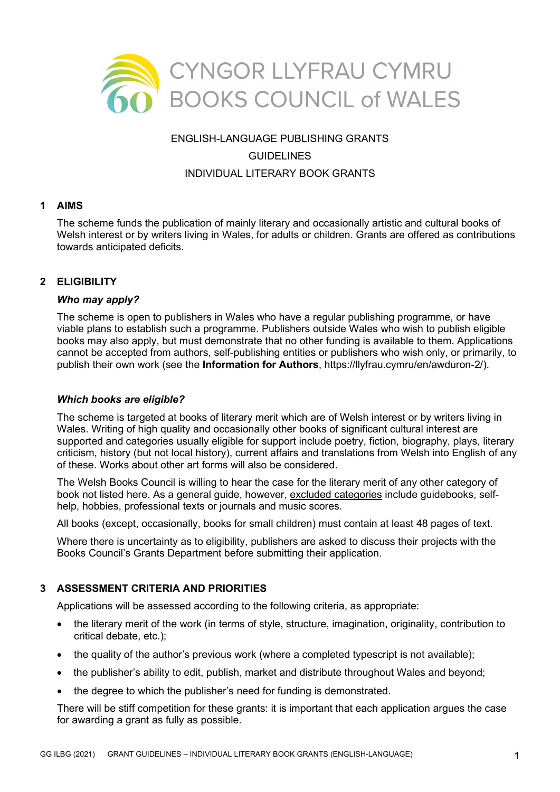

# ENGLISH-LANGUAGE PUBLISHING GRANTS **GUIDELINES** INDIVIDUAL LITERARY BOOK GRANTS

### **1 AIMS**

The scheme funds the publication of mainly literary and occasionally artistic and cultural books of Welsh interest or by writers living in Wales, for adults or children. Grants are offered as contributions towards anticipated deficits.

# **2 ELIGIBILITY**

### *Who may apply?*

The scheme is open to publishers in Wales who have a regular publishing programme, or have viable plans to establish such a programme. Publishers outside Wales who wish to publish eligible books may also apply, but must demonstrate that no other funding is available to them. Applications cannot be accepted from authors, self-publishing entities or publishers who wish only, or primarily, to publish their own work (see the **Information for Authors**, https://llyfrau.cymru/en/awduron-2/).

### *Which books are eligible?*

The scheme is targeted at books of literary merit which are of Welsh interest or by writers living in Wales. Writing of high quality and occasionally other books of significant cultural interest are supported and categories usually eligible for support include poetry, fiction, biography, plays, literary criticism, history (but not local history), current affairs and translations from Welsh into English of any of these. Works about other art forms will also be considered.

The Welsh Books Council is willing to hear the case for the literary merit of any other category of book not listed here. As a general guide, however, excluded categories include guidebooks, selfhelp, hobbies, professional texts or journals and music scores.

All books (except, occasionally, books for small children) must contain at least 48 pages of text.

Where there is uncertainty as to eligibility, publishers are asked to discuss their projects with the Books Council's Grants Department before submitting their application.

### **3 ASSESSMENT CRITERIA AND PRIORITIES**

Applications will be assessed according to the following criteria, as appropriate:

- the literary merit of the work (in terms of style, structure, imagination, originality, contribution to critical debate, etc.);
- the quality of the author's previous work (where a completed typescript is not available);
- the publisher's ability to edit, publish, market and distribute throughout Wales and beyond;
- the degree to which the publisher's need for funding is demonstrated.

There will be stiff competition for these grants: it is important that each application argues the case for awarding a grant as fully as possible.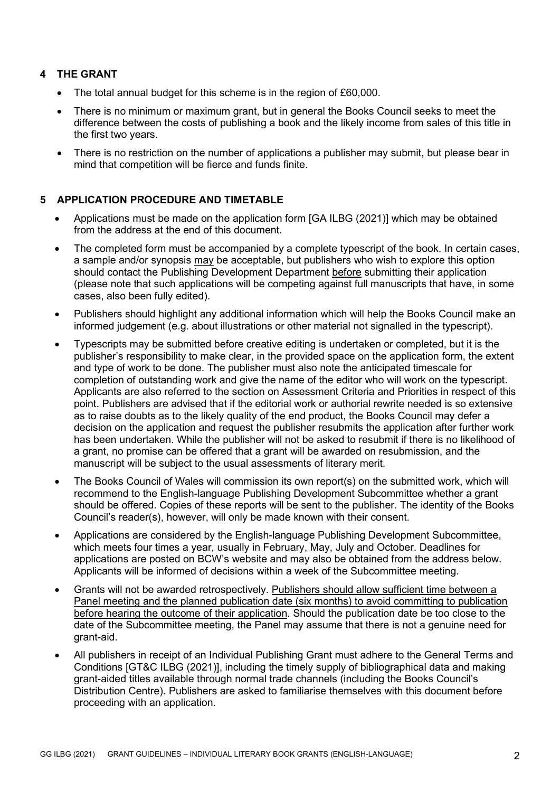# **4 THE GRANT**

- The total annual budget for this scheme is in the region of £60,000.
- There is no minimum or maximum grant, but in general the Books Council seeks to meet the difference between the costs of publishing a book and the likely income from sales of this title in the first two years.
- There is no restriction on the number of applications a publisher may submit, but please bear in mind that competition will be fierce and funds finite.

# **5 APPLICATION PROCEDURE AND TIMETABLE**

- Applications must be made on the application form [GA ILBG (2021)] which may be obtained from the address at the end of this document.
- The completed form must be accompanied by a complete typescript of the book. In certain cases, a sample and/or synopsis may be acceptable, but publishers who wish to explore this option should contact the Publishing Development Department before submitting their application (please note that such applications will be competing against full manuscripts that have, in some cases, also been fully edited).
- Publishers should highlight any additional information which will help the Books Council make an informed judgement (e.g. about illustrations or other material not signalled in the typescript).
- Typescripts may be submitted before creative editing is undertaken or completed, but it is the publisher's responsibility to make clear, in the provided space on the application form, the extent and type of work to be done. The publisher must also note the anticipated timescale for completion of outstanding work and give the name of the editor who will work on the typescript. Applicants are also referred to the section on Assessment Criteria and Priorities in respect of this point. Publishers are advised that if the editorial work or authorial rewrite needed is so extensive as to raise doubts as to the likely quality of the end product, the Books Council may defer a decision on the application and request the publisher resubmits the application after further work has been undertaken. While the publisher will not be asked to resubmit if there is no likelihood of a grant, no promise can be offered that a grant will be awarded on resubmission, and the manuscript will be subject to the usual assessments of literary merit.
- The Books Council of Wales will commission its own report(s) on the submitted work, which will recommend to the English-language Publishing Development Subcommittee whether a grant should be offered. Copies of these reports will be sent to the publisher. The identity of the Books Council's reader(s), however, will only be made known with their consent.
- Applications are considered by the English-language Publishing Development Subcommittee, which meets four times a year, usually in February, May, July and October. Deadlines for applications are posted on BCW's website and may also be obtained from the address below. Applicants will be informed of decisions within a week of the Subcommittee meeting.
- Grants will not be awarded retrospectively. Publishers should allow sufficient time between a Panel meeting and the planned publication date (six months) to avoid committing to publication before hearing the outcome of their application. Should the publication date be too close to the date of the Subcommittee meeting, the Panel may assume that there is not a genuine need for grant-aid.
- All publishers in receipt of an Individual Publishing Grant must adhere to the General Terms and Conditions [GT&C ILBG (2021)], including the timely supply of bibliographical data and making grant-aided titles available through normal trade channels (including the Books Council's Distribution Centre). Publishers are asked to familiarise themselves with this document before proceeding with an application.